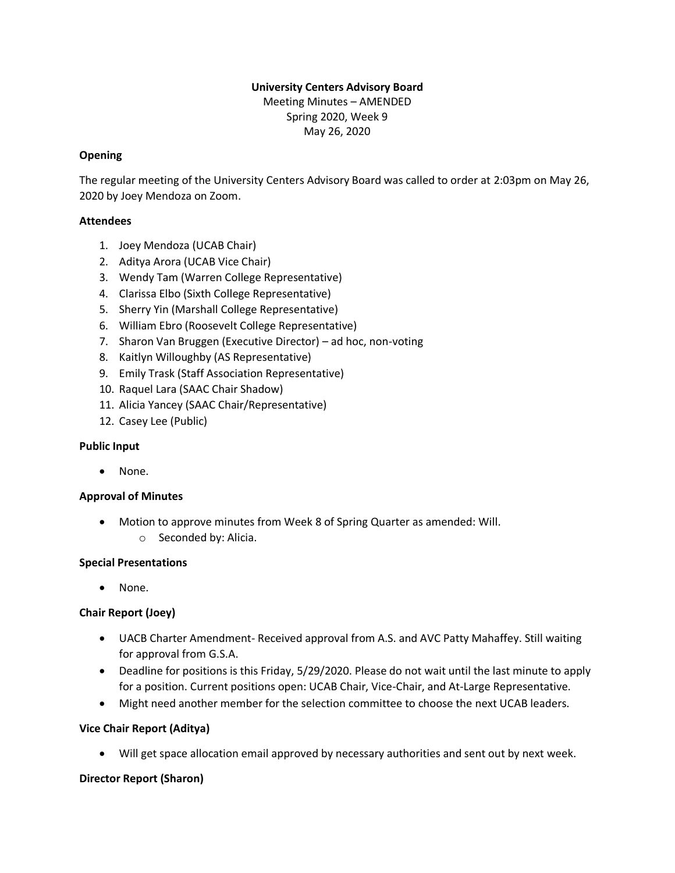# **University Centers Advisory Board**

Meeting Minutes – AMENDED Spring 2020, Week 9 May 26, 2020

## **Opening**

The regular meeting of the University Centers Advisory Board was called to order at 2:03pm on May 26, 2020 by Joey Mendoza on Zoom.

## **Attendees**

- 1. Joey Mendoza (UCAB Chair)
- 2. Aditya Arora (UCAB Vice Chair)
- 3. Wendy Tam (Warren College Representative)
- 4. Clarissa Elbo (Sixth College Representative)
- 5. Sherry Yin (Marshall College Representative)
- 6. William Ebro (Roosevelt College Representative)
- 7. Sharon Van Bruggen (Executive Director) ad hoc, non-voting
- 8. Kaitlyn Willoughby (AS Representative)
- 9. Emily Trask (Staff Association Representative)
- 10. Raquel Lara (SAAC Chair Shadow)
- 11. Alicia Yancey (SAAC Chair/Representative)
- 12. Casey Lee (Public)

#### **Public Input**

• None.

#### **Approval of Minutes**

• Motion to approve minutes from Week 8 of Spring Quarter as amended: Will. o Seconded by: Alicia.

#### **Special Presentations**

• None.

## **Chair Report (Joey)**

- UACB Charter Amendment- Received approval from A.S. and AVC Patty Mahaffey. Still waiting for approval from G.S.A.
- Deadline for positions is this Friday, 5/29/2020. Please do not wait until the last minute to apply for a position. Current positions open: UCAB Chair, Vice-Chair, and At-Large Representative.
- Might need another member for the selection committee to choose the next UCAB leaders.

#### **Vice Chair Report (Aditya)**

Will get space allocation email approved by necessary authorities and sent out by next week.

#### **Director Report (Sharon)**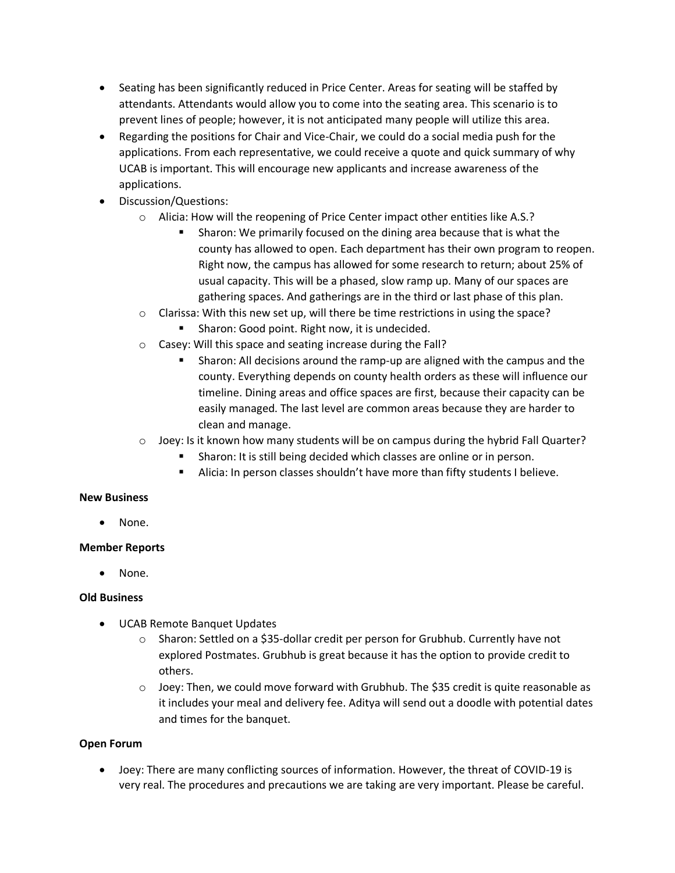- Seating has been significantly reduced in Price Center. Areas for seating will be staffed by attendants. Attendants would allow you to come into the seating area. This scenario is to prevent lines of people; however, it is not anticipated many people will utilize this area.
- Regarding the positions for Chair and Vice-Chair, we could do a social media push for the applications. From each representative, we could receive a quote and quick summary of why UCAB is important. This will encourage new applicants and increase awareness of the applications.
- Discussion/Questions:
	- o Alicia: How will the reopening of Price Center impact other entities like A.S.?
		- Sharon: We primarily focused on the dining area because that is what the county has allowed to open. Each department has their own program to reopen. Right now, the campus has allowed for some research to return; about 25% of usual capacity. This will be a phased, slow ramp up. Many of our spaces are gathering spaces. And gatherings are in the third or last phase of this plan.
	- $\circ$  Clarissa: With this new set up, will there be time restrictions in using the space? ■ Sharon: Good point. Right now, it is undecided.
	- o Casey: Will this space and seating increase during the Fall?
		- Sharon: All decisions around the ramp-up are aligned with the campus and the county. Everything depends on county health orders as these will influence our timeline. Dining areas and office spaces are first, because their capacity can be easily managed. The last level are common areas because they are harder to clean and manage.
	- $\circ$  Joey: Is it known how many students will be on campus during the hybrid Fall Quarter?
		- Sharon: It is still being decided which classes are online or in person.
		- Alicia: In person classes shouldn't have more than fifty students I believe.

#### **New Business**

• None.

#### **Member Reports**

None.

#### **Old Business**

- UCAB Remote Banquet Updates
	- $\circ$  Sharon: Settled on a \$35-dollar credit per person for Grubhub. Currently have not explored Postmates. Grubhub is great because it has the option to provide credit to others.
	- $\circ$  Joey: Then, we could move forward with Grubhub. The \$35 credit is quite reasonable as it includes your meal and delivery fee. Aditya will send out a doodle with potential dates and times for the banquet.

#### **Open Forum**

• Joey: There are many conflicting sources of information. However, the threat of COVID-19 is very real. The procedures and precautions we are taking are very important. Please be careful.